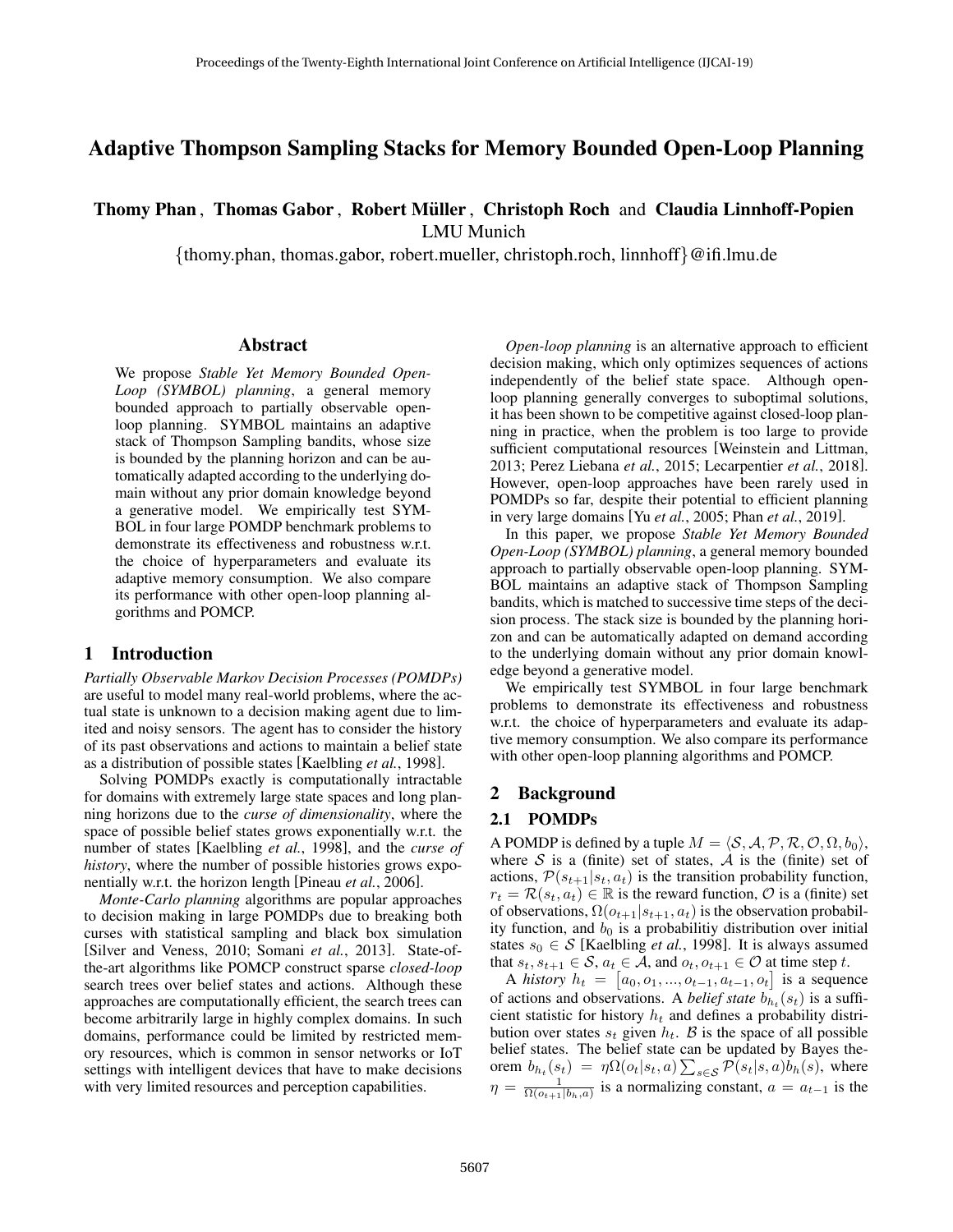# Adaptive Thompson Sampling Stacks for Memory Bounded Open-Loop Planning

# Thomy Phan, Thomas Gabor, Robert Müller, Christoph Roch and Claudia Linnhoff-Popien

LMU Munich

{thomy.phan, thomas.gabor, robert.mueller, christoph.roch, linnhoff}@ifi.lmu.de

## Abstract

We propose *Stable Yet Memory Bounded Open-Loop (SYMBOL) planning*, a general memory bounded approach to partially observable openloop planning. SYMBOL maintains an adaptive stack of Thompson Sampling bandits, whose size is bounded by the planning horizon and can be automatically adapted according to the underlying domain without any prior domain knowledge beyond a generative model. We empirically test SYM-BOL in four large POMDP benchmark problems to demonstrate its effectiveness and robustness w.r.t. the choice of hyperparameters and evaluate its adaptive memory consumption. We also compare its performance with other open-loop planning algorithms and POMCP.

## 1 Introduction

*Partially Observable Markov Decision Processes (POMDPs)* are useful to model many real-world problems, where the actual state is unknown to a decision making agent due to limited and noisy sensors. The agent has to consider the history of its past observations and actions to maintain a belief state as a distribution of possible states [Kaelbling *et al.*, 1998].

Solving POMDPs exactly is computationally intractable for domains with extremely large state spaces and long planning horizons due to the *curse of dimensionality*, where the space of possible belief states grows exponentially w.r.t. the number of states [Kaelbling *et al.*, 1998], and the *curse of history*, where the number of possible histories grows exponentially w.r.t. the horizon length [Pineau *et al.*, 2006].

*Monte-Carlo planning* algorithms are popular approaches to decision making in large POMDPs due to breaking both curses with statistical sampling and black box simulation [Silver and Veness, 2010; Somani *et al.*, 2013]. State-ofthe-art algorithms like POMCP construct sparse *closed-loop* search trees over belief states and actions. Although these approaches are computationally efficient, the search trees can become arbitrarily large in highly complex domains. In such domains, performance could be limited by restricted memory resources, which is common in sensor networks or IoT settings with intelligent devices that have to make decisions with very limited resources and perception capabilities.

*Open-loop planning* is an alternative approach to efficient decision making, which only optimizes sequences of actions independently of the belief state space. Although openloop planning generally converges to suboptimal solutions, it has been shown to be competitive against closed-loop planning in practice, when the problem is too large to provide sufficient computational resources [Weinstein and Littman, 2013; Perez Liebana *et al.*, 2015; Lecarpentier *et al.*, 2018]. However, open-loop approaches have been rarely used in POMDPs so far, despite their potential to efficient planning in very large domains [Yu *et al.*, 2005; Phan *et al.*, 2019].

In this paper, we propose *Stable Yet Memory Bounded Open-Loop (SYMBOL) planning*, a general memory bounded approach to partially observable open-loop planning. SYM-BOL maintains an adaptive stack of Thompson Sampling bandits, which is matched to successive time steps of the decision process. The stack size is bounded by the planning horizon and can be automatically adapted on demand according to the underlying domain without any prior domain knowledge beyond a generative model.

We empirically test SYMBOL in four large benchmark problems to demonstrate its effectiveness and robustness w.r.t. the choice of hyperparameters and evaluate its adaptive memory consumption. We also compare its performance with other open-loop planning algorithms and POMCP.

## 2 Background

## 2.1 POMDPs

A POMDP is defined by a tuple  $M = \langle S, A, P, R, O, \Omega, b_0 \rangle$ , where S is a (finite) set of states,  $\overline{A}$  is the (finite) set of actions,  $\mathcal{P}(s_{t+1}|s_t, a_t)$  is the transition probability function,  $r_t = \mathcal{R}(s_t, a_t) \in \mathbb{R}$  is the reward function,  $\mathcal{O}$  is a (finite) set of observations,  $\Omega(o_{t+1}|s_{t+1}, a_t)$  is the observation probability function, and  $b_0$  is a probabilitiy distribution over initial states  $s_0 \in S$  [Kaelbling *et al.*, 1998]. It is always assumed that  $s_t, s_{t+1} \in \mathcal{S}, a_t \in \overline{\mathcal{A}}$ , and  $o_t, o_{t+1} \in \mathcal{O}$  at time step t.

A *history*  $h_t = [a_0, o_1, ..., o_{t-1}, a_{t-1}, o_t]$  is a sequence of actions and observations. A *belief state*  $b_{h_t}(s_t)$  is a sufficient statistic for history  $h_t$  and defines a probability distribution over states  $s_t$  given  $h_t$ . B is the space of all possible belief states. The belief state can be updated by Bayes theorem  $b_{h_t}(s_t) = \eta \Omega(o_t|s_t, a) \sum_{s \in \mathcal{S}} \mathcal{P}(s_t|s, a) b_h(s)$ , where  $\eta = \frac{1}{\Omega(o_{t+1}|b_h, a)}$  is a normalizing constant,  $a = a_{t-1}$  is the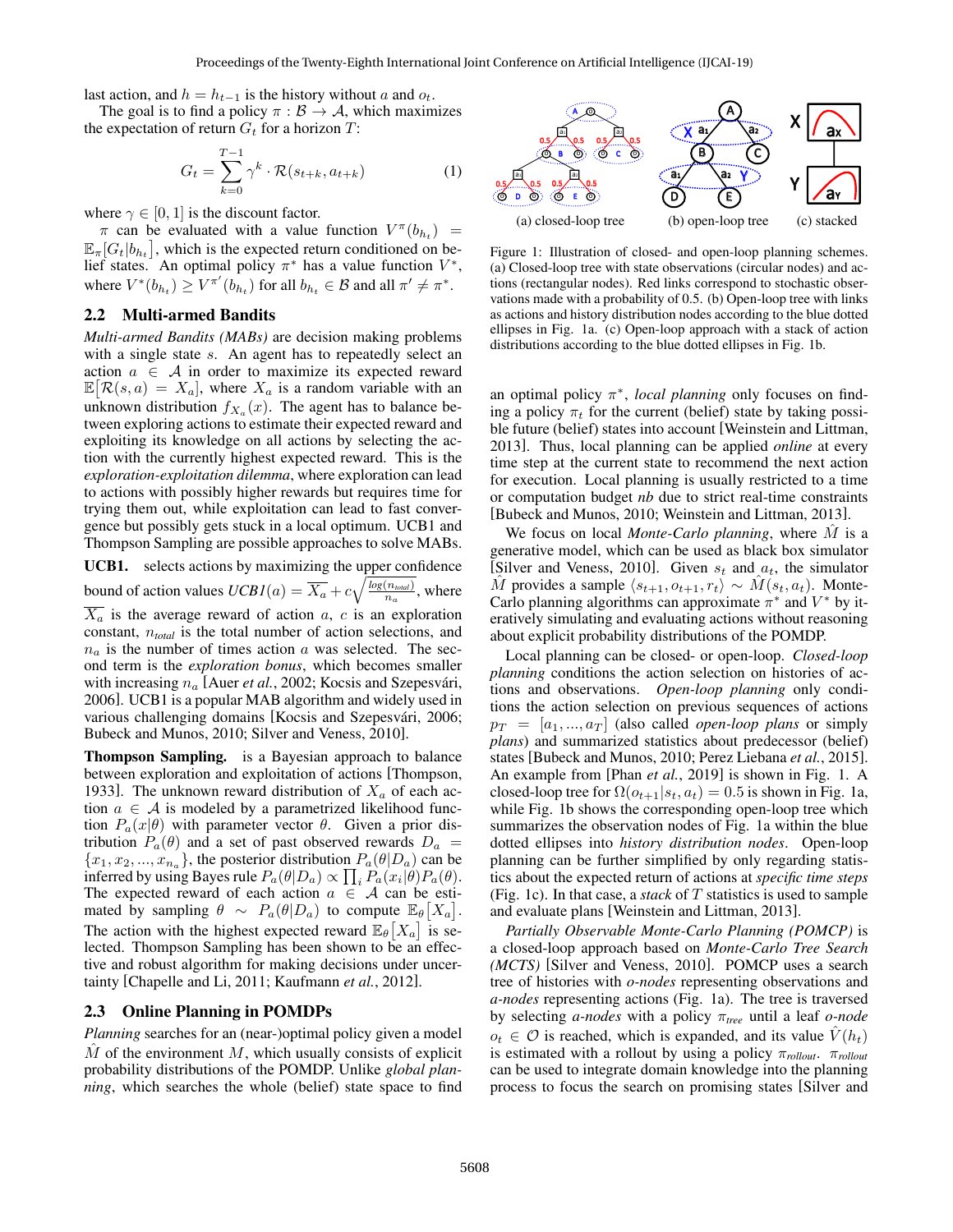last action, and  $h = h_{t-1}$  is the history without a and  $o_t$ .

The goal is to find a policy  $\pi : \mathcal{B} \to \mathcal{A}$ , which maximizes the expectation of return  $G_t$  for a horizon  $T$ :

$$
G_t = \sum_{k=0}^{T-1} \gamma^k \cdot \mathcal{R}(s_{t+k}, a_{t+k})
$$
 (1)

where  $\gamma \in [0, 1]$  is the discount factor.

 $\pi$  can be evaluated with a value function  $V^{\pi}(b_{h_t})$  =  $\mathbb{E}_{\pi}[G_t|b_{h_t}]$ , which is the expected return conditioned on belief states. An optimal policy  $\pi^*$  has a value function  $V^*$ , where  $V^*(b_{h_t}) \ge V^{\pi'}(b_{h_t})$  for all  $b_{h_t} \in \mathcal{B}$  and all  $\pi' \neq \pi^*$ .

## 2.2 Multi-armed Bandits

*Multi-armed Bandits (MABs)* are decision making problems with a single state s. An agent has to repeatedly select an action  $a \in \mathcal{A}$  in order to maximize its expected reward  $\mathbb{E}[\mathcal{R}(s, a) = X_a]$ , where  $X_a$  is a random variable with an unknown distribution  $f_{X_a}(x)$ . The agent has to balance between exploring actions to estimate their expected reward and exploiting its knowledge on all actions by selecting the action with the currently highest expected reward. This is the *exploration-exploitation dilemma*, where exploration can lead to actions with possibly higher rewards but requires time for trying them out, while exploitation can lead to fast convergence but possibly gets stuck in a local optimum. UCB1 and Thompson Sampling are possible approaches to solve MABs.

UCB1. selects actions by maximizing the upper confidence bound of action values  $UCBI(a) = \overline{X_a} + c\sqrt{\frac{\log(n_{total})}{n_a}}$  $\frac{(n_{total})}{n_a}$ , where  $\overline{X_a}$  is the average reward of action a, c is an exploration constant, n*total* is the total number of action selections, and  $n_a$  is the number of times action a was selected. The second term is the *exploration bonus*, which becomes smaller with increasing  $n_a$  [Auer *et al.*, 2002; Kocsis and Szepesvári, 2006]. UCB1 is a popular MAB algorithm and widely used in various challenging domains [Kocsis and Szepesvári, 2006; Bubeck and Munos, 2010; Silver and Veness, 2010].

Thompson Sampling. is a Bayesian approach to balance between exploration and exploitation of actions [Thompson, 1933]. The unknown reward distribution of  $X_a$  of each action  $a \in A$  is modeled by a parametrized likelihood function  $P_a(x|\theta)$  with parameter vector  $\theta$ . Given a prior distribution  $P_a(\theta)$  and a set of past observed rewards  $D_a$  =  ${x_1, x_2, ..., x_{n_a}}$ , the posterior distribution  $P_a(\theta|D_a)$  can be inferred by using Bayes rule  $P_a(\theta|D_a) \propto \prod_i P_a(x_i|\theta) P_a(\theta)$ . The expected reward of each action  $a \in \mathcal{A}$  can be estimated by sampling  $\theta \sim P_a(\theta|_{a})$  to compute  $\mathbb{E}_{\theta}[X_a].$ The action with the highest expected reward  $\mathbb{E}_{\theta}[X_a]$  is selected. Thompson Sampling has been shown to be an effective and robust algorithm for making decisions under uncertainty [Chapelle and Li, 2011; Kaufmann *et al.*, 2012].

#### 2.3 Online Planning in POMDPs

*Planning* searches for an (near-)optimal policy given a model  $\overline{M}$  of the environment  $M$ , which usually consists of explicit probability distributions of the POMDP. Unlike *global planning*, which searches the whole (belief) state space to find



Figure 1: Illustration of closed- and open-loop planning schemes. (a) Closed-loop tree with state observations (circular nodes) and actions (rectangular nodes). Red links correspond to stochastic observations made with a probability of 0.5. (b) Open-loop tree with links as actions and history distribution nodes according to the blue dotted ellipses in Fig. 1a. (c) Open-loop approach with a stack of action distributions according to the blue dotted ellipses in Fig. 1b.

an optimal policy π ∗ , *local planning* only focuses on finding a policy  $\pi_t$  for the current (belief) state by taking possible future (belief) states into account [Weinstein and Littman, 2013]. Thus, local planning can be applied *online* at every time step at the current state to recommend the next action for execution. Local planning is usually restricted to a time or computation budget *nb* due to strict real-time constraints [Bubeck and Munos, 2010; Weinstein and Littman, 2013].

We focus on local *Monte-Carlo planning*, where  $\tilde{M}$  is a generative model, which can be used as black box simulator [Silver and Veness, 2010]. Given  $s_t$  and  $a_t$ , the simulator *M* provides a sample  $\langle s_{t+1}, o_{t+1}, r_t \rangle$  ∼ *M* $(s_t, a_t)$ . Monte-Carlo planning algorithms can approximate  $\pi^*$  and  $V^*$  by iteratively simulating and evaluating actions without reasoning about explicit probability distributions of the POMDP.

Local planning can be closed- or open-loop. *Closed-loop planning* conditions the action selection on histories of actions and observations. *Open-loop planning* only conditions the action selection on previous sequences of actions  $p_T = [a_1, ..., a_T]$  (also called *open-loop plans* or simply *plans*) and summarized statistics about predecessor (belief) states [Bubeck and Munos, 2010; Perez Liebana *et al.*, 2015]. An example from [Phan *et al.*, 2019] is shown in Fig. 1. A closed-loop tree for  $\Omega(o_{t+1}|s_t, a_t) = 0.5$  is shown in Fig. 1a, while Fig. 1b shows the corresponding open-loop tree which summarizes the observation nodes of Fig. 1a within the blue dotted ellipses into *history distribution nodes*. Open-loop planning can be further simplified by only regarding statistics about the expected return of actions at *specific time steps* (Fig. 1c). In that case, a *stack* of T statistics is used to sample and evaluate plans [Weinstein and Littman, 2013].

*Partially Observable Monte-Carlo Planning (POMCP)* is a closed-loop approach based on *Monte-Carlo Tree Search (MCTS)* [Silver and Veness, 2010]. POMCP uses a search tree of histories with *o-nodes* representing observations and *a-nodes* representing actions (Fig. 1a). The tree is traversed by selecting *a-nodes* with a policy π*tree* until a leaf *o-node*  $o_t \in \mathcal{O}$  is reached, which is expanded, and its value  $\hat{V}(h_t)$ is estimated with a rollout by using a policy  $\pi_{\text{rollout}}$ .  $\pi_{\text{rollout}}$ can be used to integrate domain knowledge into the planning process to focus the search on promising states [Silver and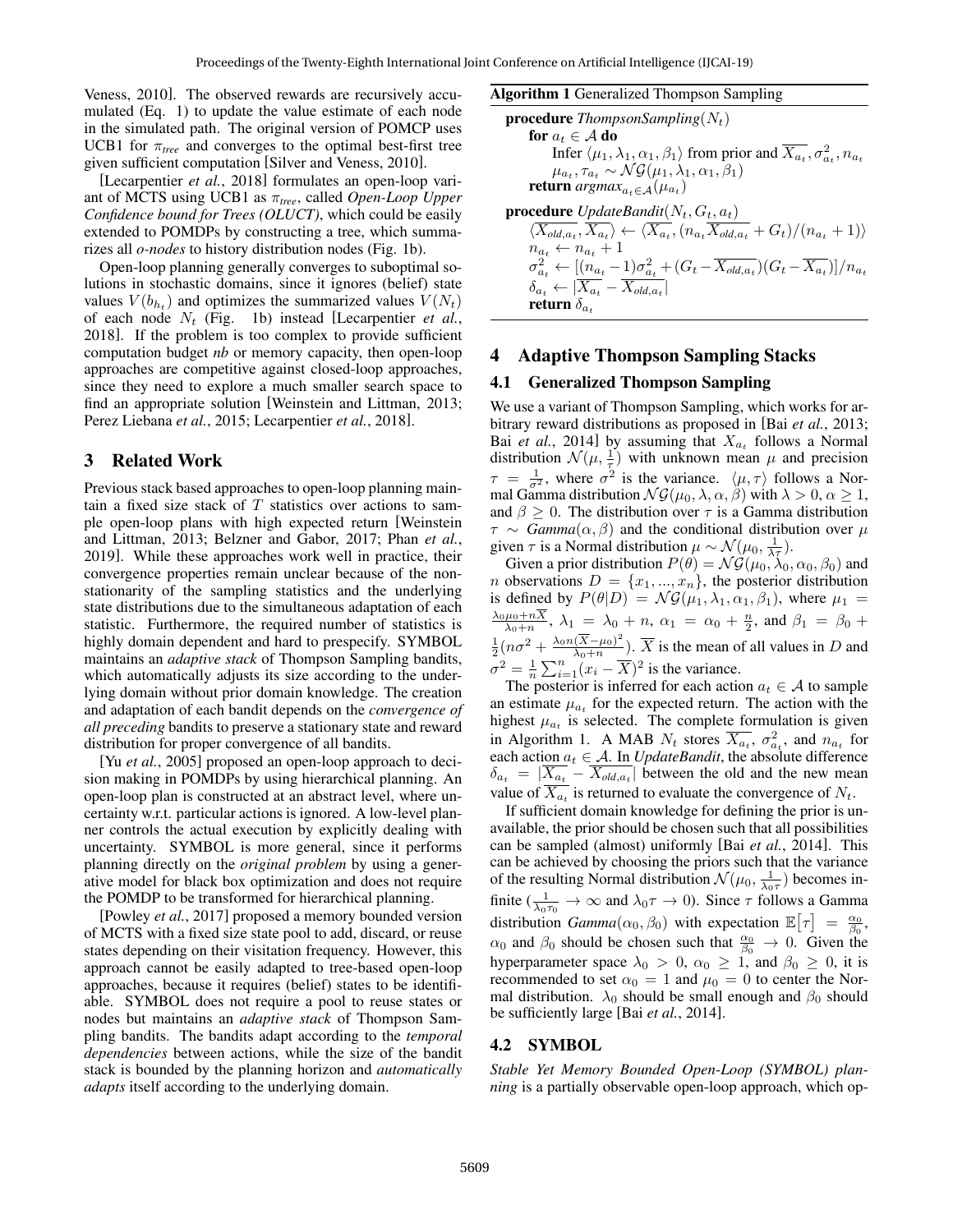Veness, 2010]. The observed rewards are recursively accumulated (Eq. 1) to update the value estimate of each node in the simulated path. The original version of POMCP uses UCB1 for  $\pi_{tree}$  and converges to the optimal best-first tree given sufficient computation [Silver and Veness, 2010].

[Lecarpentier *et al.*, 2018] formulates an open-loop variant of MCTS using UCB1 as π*tree*, called *Open-Loop Upper Confidence bound for Trees (OLUCT)*, which could be easily extended to POMDPs by constructing a tree, which summarizes all *o-nodes* to history distribution nodes (Fig. 1b).

Open-loop planning generally converges to suboptimal solutions in stochastic domains, since it ignores (belief) state values  $V(b_{h_t})$  and optimizes the summarized values  $V(N_t)$ of each node  $N_t$  (Fig. 1b) instead [Lecarpentier *et al.*, 2018]. If the problem is too complex to provide sufficient computation budget *nb* or memory capacity, then open-loop approaches are competitive against closed-loop approaches, since they need to explore a much smaller search space to find an appropriate solution [Weinstein and Littman, 2013; Perez Liebana *et al.*, 2015; Lecarpentier *et al.*, 2018].

# 3 Related Work

Previous stack based approaches to open-loop planning maintain a fixed size stack of  $T$  statistics over actions to sample open-loop plans with high expected return [Weinstein and Littman, 2013; Belzner and Gabor, 2017; Phan *et al.*, 2019]. While these approaches work well in practice, their convergence properties remain unclear because of the nonstationarity of the sampling statistics and the underlying state distributions due to the simultaneous adaptation of each statistic. Furthermore, the required number of statistics is highly domain dependent and hard to prespecify. SYMBOL maintains an *adaptive stack* of Thompson Sampling bandits, which automatically adjusts its size according to the underlying domain without prior domain knowledge. The creation and adaptation of each bandit depends on the *convergence of all preceding* bandits to preserve a stationary state and reward distribution for proper convergence of all bandits.

[Yu *et al.*, 2005] proposed an open-loop approach to decision making in POMDPs by using hierarchical planning. An open-loop plan is constructed at an abstract level, where uncertainty w.r.t. particular actions is ignored. A low-level planner controls the actual execution by explicitly dealing with uncertainty. SYMBOL is more general, since it performs planning directly on the *original problem* by using a generative model for black box optimization and does not require the POMDP to be transformed for hierarchical planning.

[Powley *et al.*, 2017] proposed a memory bounded version of MCTS with a fixed size state pool to add, discard, or reuse states depending on their visitation frequency. However, this approach cannot be easily adapted to tree-based open-loop approaches, because it requires (belief) states to be identifiable. SYMBOL does not require a pool to reuse states or nodes but maintains an *adaptive stack* of Thompson Sampling bandits. The bandits adapt according to the *temporal dependencies* between actions, while the size of the bandit stack is bounded by the planning horizon and *automatically adapts* itself according to the underlying domain.

#### Algorithm 1 Generalized Thompson Sampling

```
procedure ThompsonSampling(N_t)for a_t \in A do
   Infer \langle \mu_1, \lambda_1, \alpha_1, \beta_1 \rangle from prior and \overline{X_{a_t}}, \sigma^2_{a_t}, n_{a_t}\mu_{a_t}, \tau_{a_t} \sim \mathcal{N} \mathcal{G}(\mu_1, \lambda_1, \alpha_1, \beta_1)return argmax_{a_t \in \mathcal{A}} (\mu_{a_t})procedure UpdateBandit(N_t, G_t, a_t)\langle X_{\text{old},a_t}, X_{a_t} \rangle \leftarrow \langle X_{a_t}, (n_{a_t}X_{\text{old},a_t} + G_t)/(n_{a_t} + 1) \ranglen_{a_t} \leftarrow n_{a_t} + 1\sigma_{a_t}^2 \leftarrow [(n_{a_t} - 1)\sigma_{a_t}^2 + (G_t - \overline{X_{old, a_t}})(G_t - \overline{X_{a_t}})]/n_{a_t}\delta_{a_t} \leftarrow |\overline{X_{a_t}} - \overline{X_{\textit{old},a_t}}|return \delta_a
```
### 4 Adaptive Thompson Sampling Stacks

## 4.1 Generalized Thompson Sampling

We use a variant of Thompson Sampling, which works for arbitrary reward distributions as proposed in [Bai *et al.*, 2013; Bai *et al.*, 2014] by assuming that  $X_{a_t}$  follows a Normal distribution  $\mathcal{N}(\mu, \frac{1}{\tau})$  with unknown mean  $\mu$  and precision  $\tau = \frac{1}{\sigma^2}$ , where  $\sigma^2$  is the variance.  $\langle \mu, \tau \rangle$  follows a Normal Gamma distribution  $\mathcal{N}\mathcal{G}(\mu_0, \lambda, \alpha, \beta)$  with  $\lambda > 0, \alpha \geq 1$ , and  $\beta \geq 0$ . The distribution over  $\tau$  is a Gamma distribution  $\tau \sim \text{Gamma}(\alpha, \beta)$  and the conditional distribution over  $\mu$ given  $\tau$  is a Normal distribution  $\mu \sim \mathcal{N}(\mu_0, \frac{1}{\lambda \tau}).$ 

Given a prior distribution  $P(\theta) = \mathcal{N}\mathcal{G}(\mu_0, \lambda_0, \alpha_0, \beta_0)$  and *n* observations  $D = \{x_1, ..., x_n\}$ , the posterior distribution is defined by  $P(\theta|D) = \mathcal{NG}(\mu_1, \lambda_1, \alpha_1, \beta_1)$ , where  $\mu_1 =$  $\frac{\lambda_0 \mu_0 + nX}{\lambda_0 + n}$ ,  $\lambda_1 = \lambda_0 + n$ ,  $\alpha_1 = \alpha_0 + \frac{n}{2}$ , and  $\beta_1 = \beta_0 +$  $\frac{1}{2}(n\sigma^2+\frac{\lambda_0n(\overline{X}-\mu_0)^2}{\lambda_0+n})$  $\frac{(\overline{X} - \mu_0)}{\lambda_0 + n}$ ). X is the mean of all values in D and  $\sigma^2 = \frac{1}{n} \sum_{i=1}^n (x_i - \overline{X})^2$  is the variance.

The posterior is inferred for each action  $a_t \in A$  to sample an estimate  $\mu_{a_t}$  for the expected return. The action with the highest  $\mu_{a_t}$  is selected. The complete formulation is given in Algorithm 1. A MAB  $N_t$  stores  $\overline{X_{a_t}}$ ,  $\sigma_{a_t}^2$ , and  $n_{a_t}$  for each action  $a_t \in A$ . In *UpdateBandit*, the absolute difference  $\delta_{a_t} = |\overline{X_{a_t}} - \overline{X_{old, a_t}}|$  between the old and the new mean value of  $X_{a_t}$  is returned to evaluate the convergence of  $N_t$ .

If sufficient domain knowledge for defining the prior is unavailable, the prior should be chosen such that all possibilities can be sampled (almost) uniformly [Bai *et al.*, 2014]. This can be achieved by choosing the priors such that the variance of the resulting Normal distribution  $\mathcal{N}(\mu_0, \frac{1}{\lambda_0 \tau})$  becomes infinite ( $\frac{1}{\lambda_0 \tau_0} \to \infty$  and  $\lambda_0 \tau \to 0$ ). Since  $\tau$  follows a Gamma distribution *Gamma*( $\alpha_0$ ,  $\beta_0$ ) with expectation  $\mathbb{E}[\tau] = \frac{\alpha_0}{\beta_0}$ ,  $\alpha_0$  and  $\beta_0$  should be chosen such that  $\frac{\alpha_0}{\beta_0} \to 0$ . Given the hyperparameter space  $\lambda_0 > 0$ ,  $\alpha_0 \ge 1$ , and  $\beta_0 \ge 0$ , it is recommended to set  $\alpha_0 = 1$  and  $\mu_0 = 0$  to center the Normal distribution.  $\lambda_0$  should be small enough and  $\beta_0$  should be sufficiently large [Bai *et al.*, 2014].

#### 4.2 SYMBOL

*Stable Yet Memory Bounded Open-Loop (SYMBOL) planning* is a partially observable open-loop approach, which op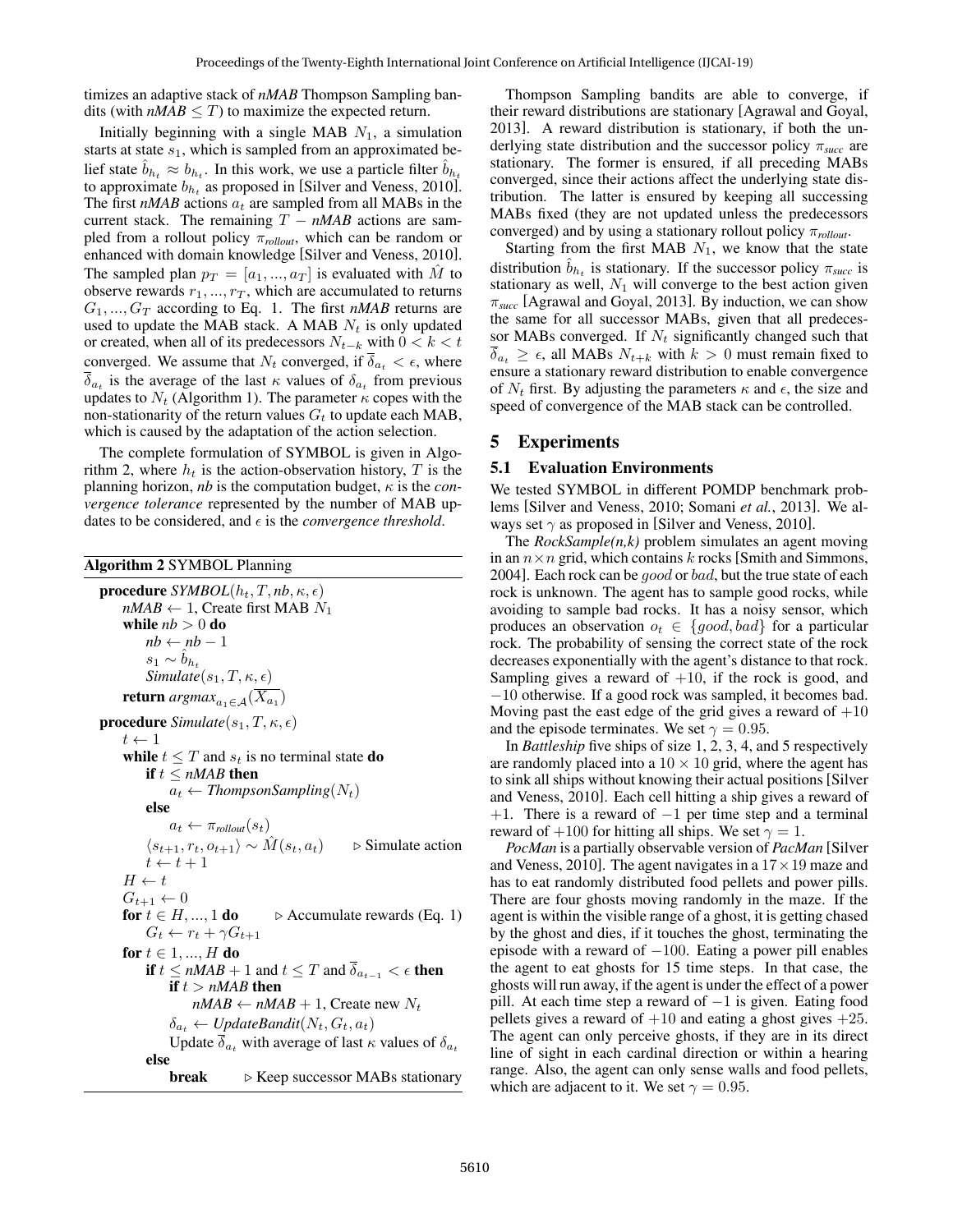timizes an adaptive stack of *nMAB* Thompson Sampling bandits (with  $nMAB \leq T$ ) to maximize the expected return.

Initially beginning with a single MAB  $N_1$ , a simulation starts at state  $s_1$ , which is sampled from an approximated belief state  $\hat{b}_{h_t} \approx b_{h_t}$ . In this work, we use a particle filter  $\hat{b}_{h_t}$ to approximate  $b_{h_t}$  as proposed in [Silver and Veness, 2010]. The first  $nMAB$  actions  $a_t$  are sampled from all MABs in the current stack. The remaining  $T - nMAB$  actions are sampled from a rollout policy π*rollout*, which can be random or enhanced with domain knowledge [Silver and Veness, 2010]. The sampled plan  $p_T = [a_1, ..., a_T]$  is evaluated with M to observe rewards  $r_1, ..., r_T$ , which are accumulated to returns  $G_1, ..., G_T$  according to Eq. 1. The first *nMAB* returns are used to update the MAB stack. A MAB  $N_t$  is only updated or created, when all of its predecessors  $N_{t-k}$  with  $0 < k < t$ converged. We assume that  $N_t$  converged, if  $\overline{\delta}_{a_t} < \epsilon$ , where  $\delta_{a_t}$  is the average of the last  $\kappa$  values of  $\delta_{a_t}$  from previous updates to  $N_t$  (Algorithm 1). The parameter  $\kappa$  copes with the non-stationarity of the return values  $G_t$  to update each MAB, which is caused by the adaptation of the action selection.

The complete formulation of SYMBOL is given in Algorithm 2, where  $h_t$  is the action-observation history, T is the planning horizon, *nb* is the computation budget,  $\kappa$  is the *convergence tolerance* represented by the number of MAB updates to be considered, and  $\epsilon$  is the *convergence threshold*.

| <b>Algorithm 2 SYMBOL Planning</b> |  |  |
|------------------------------------|--|--|
|                                    |  |  |

procedure  $SYMBOL(h_t, T, nb, \kappa, \epsilon)$  $nMAB \leftarrow 1$ , Create first MAB  $N_1$ while  $nb > 0$  do  $nb \leftarrow nb - 1$  $s_1 \sim b_{h_t}$  $Simulate(s_1, T, \kappa, \epsilon)$ return *argmax*<sub>a1∈A</sub> $(X_{a_1})$ **procedure** *Simulate*( $s_1, T, \kappa, \epsilon$ )  $t \leftarrow 1$ while  $t \leq T$  and  $s_t$  is no terminal state **do** if  $t \leq nMAB$  then  $a_t \leftarrow$  *ThompsonSampling* $(N_t)$ else  $a_t \leftarrow \pi_{\text{rollout}}(s_t)$  $\langle s_{t+1}, r_t, o_{t+1} \rangle \sim \hat{M}(s_t, a_t)$  > Simulate action  $t \leftarrow t + 1$  $H \leftarrow t$  $G_{t+1} \leftarrow 0$ <br>for  $t \in H, ..., 1$  do  $\triangleright$  Accumulate rewards (Eq. 1)  $G_t \leftarrow r_t + \gamma G_{t+1}$ for  $t \in 1, ..., H$  do if  $t \le nMAB + 1$  and  $t \le T$  and  $\overline{\delta}_{a_{t-1}} < \epsilon$  then if  $t > nMAB$  then  $nMAB \leftarrow nMAB + 1$ , Create new  $N_t$  $\delta_{a_t} \leftarrow UpdateBandit(N_t, G_t, a_t)$ Update  $\overline{\delta}_{a_t}$  with average of last  $\kappa$  values of  $\delta_{a_t}$ else **break**  $\triangleright$  Keep successor MABs stationary

Thompson Sampling bandits are able to converge, if their reward distributions are stationary [Agrawal and Goyal, 2013]. A reward distribution is stationary, if both the underlying state distribution and the successor policy π*succ* are stationary. The former is ensured, if all preceding MABs converged, since their actions affect the underlying state distribution. The latter is ensured by keeping all successing MABs fixed (they are not updated unless the predecessors converged) and by using a stationary rollout policy π*rollout*.

Starting from the first MAB  $N_1$ , we know that the state distribution  $\hat{b}_{h_t}$  is stationary. If the successor policy  $\pi_{succ}$  is stationary as well,  $N_1$  will converge to the best action given  $\pi_{succ}$  [Agrawal and Goyal, 2013]. By induction, we can show the same for all successor MABs, given that all predecessor MABs converged. If  $N_t$  significantly changed such that  $\overline{\delta}_{a_t} \geq \epsilon$ , all MABs  $N_{t+k}$  with  $k > 0$  must remain fixed to ensure a stationary reward distribution to enable convergence of  $N_t$  first. By adjusting the parameters  $\kappa$  and  $\epsilon$ , the size and speed of convergence of the MAB stack can be controlled.

# 5 Experiments

#### 5.1 Evaluation Environments

We tested SYMBOL in different POMDP benchmark problems [Silver and Veness, 2010; Somani *et al.*, 2013]. We always set  $\gamma$  as proposed in [Silver and Veness, 2010].

The *RockSample(n,k)* problem simulates an agent moving in an  $n \times n$  grid, which contains k rocks [Smith and Simmons, 2004]. Each rock can be good or bad, but the true state of each rock is unknown. The agent has to sample good rocks, while avoiding to sample bad rocks. It has a noisy sensor, which produces an observation  $o_t \in \{good, bad\}$  for a particular rock. The probability of sensing the correct state of the rock decreases exponentially with the agent's distance to that rock. Sampling gives a reward of  $+10$ , if the rock is good, and −10 otherwise. If a good rock was sampled, it becomes bad. Moving past the east edge of the grid gives a reward of  $+10$ and the episode terminates. We set  $\gamma = 0.95$ .

In *Battleship* five ships of size 1, 2, 3, 4, and 5 respectively are randomly placed into a  $10 \times 10$  grid, where the agent has to sink all ships without knowing their actual positions [Silver and Veness, 2010]. Each cell hitting a ship gives a reward of +1. There is a reward of  $-1$  per time step and a terminal reward of  $+100$  for hitting all ships. We set  $\gamma = 1$ .

*PocMan* is a partially observable version of *PacMan* [Silver and Veness, 2010]. The agent navigates in a  $17 \times 19$  maze and has to eat randomly distributed food pellets and power pills. There are four ghosts moving randomly in the maze. If the agent is within the visible range of a ghost, it is getting chased by the ghost and dies, if it touches the ghost, terminating the episode with a reward of  $-100$ . Eating a power pill enables the agent to eat ghosts for 15 time steps. In that case, the ghosts will run away, if the agent is under the effect of a power pill. At each time step a reward of  $-1$  is given. Eating food pellets gives a reward of  $+10$  and eating a ghost gives  $+25$ . The agent can only perceive ghosts, if they are in its direct line of sight in each cardinal direction or within a hearing range. Also, the agent can only sense walls and food pellets, which are adjacent to it. We set  $\gamma = 0.95$ .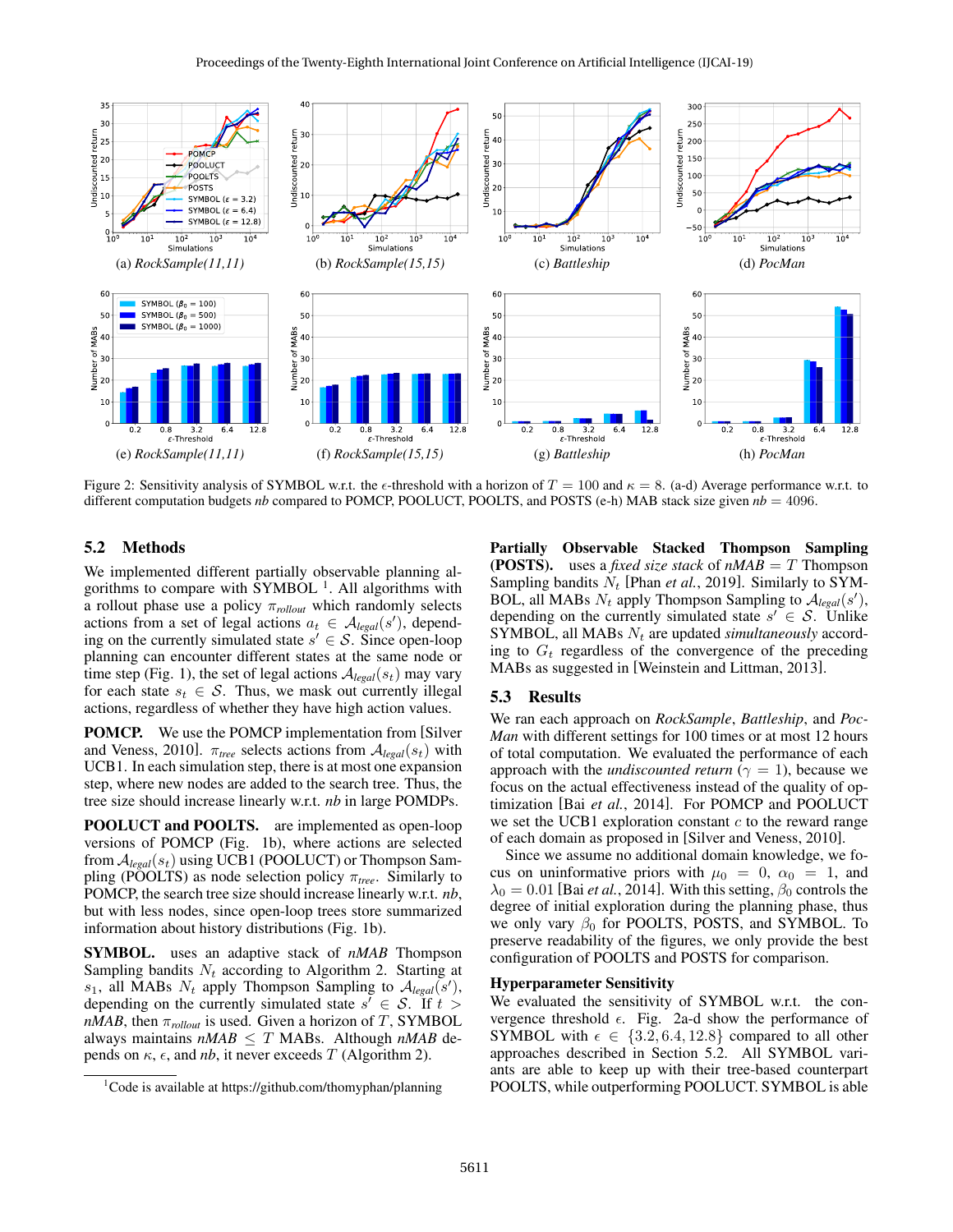

Figure 2: Sensitivity analysis of SYMBOL w.r.t. the  $\epsilon$ -threshold with a horizon of  $T = 100$  and  $\kappa = 8$ . (a-d) Average performance w.r.t. to different computation budgets *nb* compared to POMCP, POOLUCT, POOLTS, and POSTS (e-h) MAB stack size given  $nb = 4096$ .

## 5.2 Methods

We implemented different partially observable planning algorithms to compare with  $\text{SYMBOL}$ <sup>1</sup>. All algorithms with a rollout phase use a policy π*rollout* which randomly selects actions from a set of legal actions  $a_t \in \mathcal{A}_{\text{legal}}(s')$ , depending on the currently simulated state  $s' \in S$ . Since open-loop planning can encounter different states at the same node or time step (Fig. 1), the set of legal actions  $A_{\text{legal}}(s_t)$  may vary for each state  $s_t \in S$ . Thus, we mask out currently illegal actions, regardless of whether they have high action values.

POMCP. We use the POMCP implementation from [Silver and Veness, 2010].  $\pi_{tree}$  selects actions from  $A_{legal}(s_t)$  with UCB1. In each simulation step, there is at most one expansion step, where new nodes are added to the search tree. Thus, the tree size should increase linearly w.r.t. *nb* in large POMDPs.

POOLUCT and POOLTS. are implemented as open-loop versions of POMCP (Fig. 1b), where actions are selected from  $\mathcal{A}_{\mathit{legal}}(s_t)$  using UCB1 (POOLUCT) or Thompson Sampling (POOLTS) as node selection policy π*tree*. Similarly to POMCP, the search tree size should increase linearly w.r.t. *nb*, but with less nodes, since open-loop trees store summarized information about history distributions (Fig. 1b).

SYMBOL. uses an adaptive stack of *nMAB* Thompson Sampling bandits  $N_t$  according to Algorithm 2. Starting at  $s_1$ , all MABs  $N_t$  apply Thompson Sampling to  $A_{legal}(s')$ , depending on the currently simulated state  $s' \in S$ . If  $t >$ *nMAB*, then  $\pi_{\text{rollout}}$  is used. Given a horizon of T, SYMBOL always maintains  $nMAB \leq T$  MABs. Although  $nMAB$  depends on  $\kappa$ ,  $\epsilon$ , and *nb*, it never exceeds T (Algorithm 2).

Partially Observable Stacked Thompson Sampling (**POSTS**). uses a *fixed size stack* of  $nMAB = T$  Thompson Sampling bandits  $N_t$  [Phan *et al.*, 2019]. Similarly to SYM-BOL, all MABs  $N_t$  apply Thompson Sampling to  $A_{legal}(s')$ , depending on the currently simulated state  $s' \in S$ . Unlike SYMBOL, all MABs  $N_t$  are updated *simultaneously* according to  $G_t$  regardless of the convergence of the preceding MABs as suggested in [Weinstein and Littman, 2013].

#### 5.3 Results

We ran each approach on *RockSample*, *Battleship*, and *Poc-Man* with different settings for 100 times or at most 12 hours of total computation. We evaluated the performance of each approach with the *undiscounted return* ( $\gamma = 1$ ), because we focus on the actual effectiveness instead of the quality of optimization [Bai *et al.*, 2014]. For POMCP and POOLUCT we set the UCB1 exploration constant  $c$  to the reward range of each domain as proposed in [Silver and Veness, 2010].

Since we assume no additional domain knowledge, we focus on uninformative priors with  $\mu_0 = 0$ ,  $\alpha_0 = 1$ , and  $\lambda_0 = 0.01$  [Bai *et al.*, 2014]. With this setting,  $\beta_0$  controls the degree of initial exploration during the planning phase, thus we only vary  $\beta_0$  for POOLTS, POSTS, and SYMBOL. To preserve readability of the figures, we only provide the best configuration of POOLTS and POSTS for comparison.

### Hyperparameter Sensitivity

We evaluated the sensitivity of SYMBOL w.r.t. the convergence threshold  $\epsilon$ . Fig. 2a-d show the performance of SYMBOL with  $\epsilon \in \{3.2, 6.4, 12.8\}$  compared to all other approaches described in Section 5.2. All SYMBOL variants are able to keep up with their tree-based counterpart POOLTS, while outperforming POOLUCT. SYMBOL is able

<sup>&</sup>lt;sup>1</sup>Code is available at https://github.com/thomyphan/planning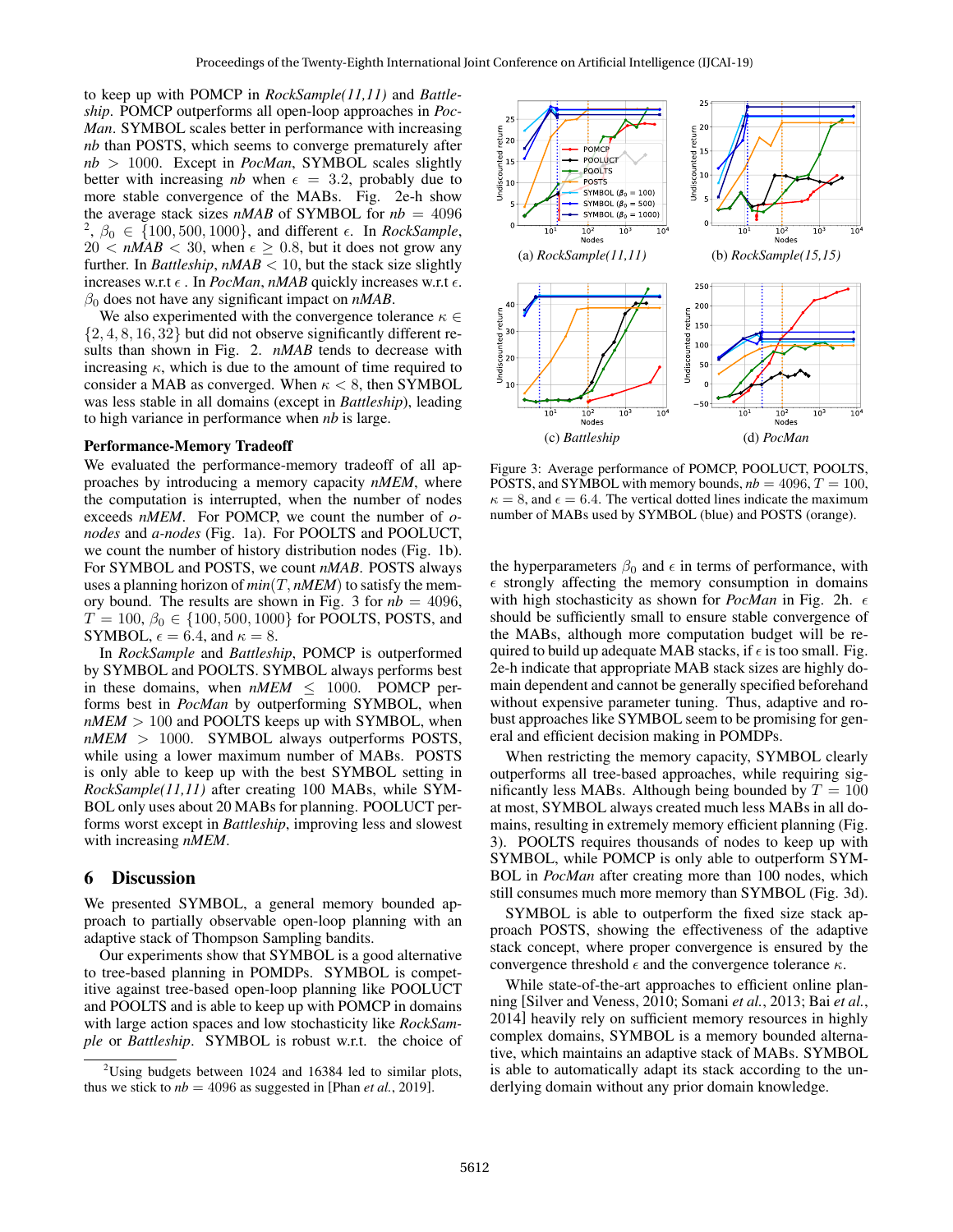to keep up with POMCP in *RockSample(11,11)* and *Battleship*. POMCP outperforms all open-loop approaches in *Poc-Man*. SYMBOL scales better in performance with increasing *nb* than POSTS, which seems to converge prematurely after *nb* > 1000. Except in *PocMan*, SYMBOL scales slightly better with increasing *nb* when  $\epsilon = 3.2$ , probably due to more stable convergence of the MABs. Fig. 2e-h show the average stack sizes  $nMAB$  of SYMBOL for  $nb = 4096$ <sup>2</sup>,  $\beta_0 \in \{100, 500, 1000\}$ , and different  $\epsilon$ . In *RockSample*,  $20 < nMAB < 30$ , when  $\epsilon \geq 0.8$ , but it does not grow any further. In *Battleship*,  $nMAB < 10$ , but the stack size slightly increases w.r.t  $\epsilon$ . In *PocMan*, *nMAB* quickly increases w.r.t  $\epsilon$ .  $\beta_0$  does not have any significant impact on  $nMAB$ .

We also experimented with the convergence tolerance  $\kappa \in$  $\{2, 4, 8, 16, 32\}$  but did not observe significantly different results than shown in Fig. 2. *nMAB* tends to decrease with increasing  $\kappa$ , which is due to the amount of time required to consider a MAB as converged. When  $\kappa < 8$ , then SYMBOL was less stable in all domains (except in *Battleship*), leading to high variance in performance when *nb* is large.

#### Performance-Memory Tradeoff

We evaluated the performance-memory tradeoff of all approaches by introducing a memory capacity *nMEM*, where the computation is interrupted, when the number of nodes exceeds *nMEM*. For POMCP, we count the number of *onodes* and *a-nodes* (Fig. 1a). For POOLTS and POOLUCT, we count the number of history distribution nodes (Fig. 1b). For SYMBOL and POSTS, we count *nMAB*. POSTS always uses a planning horizon of  $min(T, nMEM)$  to satisfy the memory bound. The results are shown in Fig. 3 for  $nb = 4096$ ,  $T = 100, \beta_0 \in \{100, 500, 1000\}$  for POOLTS, POSTS, and SYMBOL,  $\epsilon = 6.4$ , and  $\kappa = 8$ .

In *RockSample* and *Battleship*, POMCP is outperformed by SYMBOL and POOLTS. SYMBOL always performs best in these domains, when  $nMEM \leq 1000$ . POMCP performs best in *PocMan* by outperforming SYMBOL, when  $nMEM > 100$  and POOLTS keeps up with SYMBOL, when *nMEM* > 1000. SYMBOL always outperforms POSTS, while using a lower maximum number of MABs. POSTS is only able to keep up with the best SYMBOL setting in *RockSample(11,11)* after creating 100 MABs, while SYM-BOL only uses about 20 MABs for planning. POOLUCT performs worst except in *Battleship*, improving less and slowest with increasing *nMEM*.

#### 6 Discussion

We presented SYMBOL, a general memory bounded approach to partially observable open-loop planning with an adaptive stack of Thompson Sampling bandits.

Our experiments show that SYMBOL is a good alternative to tree-based planning in POMDPs. SYMBOL is competitive against tree-based open-loop planning like POOLUCT and POOLTS and is able to keep up with POMCP in domains with large action spaces and low stochasticity like *RockSample* or *Battleship*. SYMBOL is robust w.r.t. the choice of



Figure 3: Average performance of POMCP, POOLUCT, POOLTS, POSTS, and SYMBOL with memory bounds,  $nb = 4096$ ,  $T = 100$ ,  $\kappa = 8$ , and  $\epsilon = 6.4$ . The vertical dotted lines indicate the maximum number of MABs used by SYMBOL (blue) and POSTS (orange).

the hyperparameters  $\beta_0$  and  $\epsilon$  in terms of performance, with  $\epsilon$  strongly affecting the memory consumption in domains with high stochasticity as shown for *PocMan* in Fig. 2h.  $\epsilon$ should be sufficiently small to ensure stable convergence of the MABs, although more computation budget will be required to build up adequate MAB stacks, if  $\epsilon$  is too small. Fig. 2e-h indicate that appropriate MAB stack sizes are highly domain dependent and cannot be generally specified beforehand without expensive parameter tuning. Thus, adaptive and robust approaches like SYMBOL seem to be promising for general and efficient decision making in POMDPs.

When restricting the memory capacity, SYMBOL clearly outperforms all tree-based approaches, while requiring significantly less MABs. Although being bounded by  $T = 100$ at most, SYMBOL always created much less MABs in all domains, resulting in extremely memory efficient planning (Fig. 3). POOLTS requires thousands of nodes to keep up with SYMBOL, while POMCP is only able to outperform SYM-BOL in *PocMan* after creating more than 100 nodes, which still consumes much more memory than SYMBOL (Fig. 3d).

SYMBOL is able to outperform the fixed size stack approach POSTS, showing the effectiveness of the adaptive stack concept, where proper convergence is ensured by the convergence threshold  $\epsilon$  and the convergence tolerance  $\kappa$ .

While state-of-the-art approaches to efficient online planning [Silver and Veness, 2010; Somani *et al.*, 2013; Bai *et al.*, 2014] heavily rely on sufficient memory resources in highly complex domains, SYMBOL is a memory bounded alternative, which maintains an adaptive stack of MABs. SYMBOL is able to automatically adapt its stack according to the underlying domain without any prior domain knowledge.

 $2$ Using budgets between 1024 and 16384 led to similar plots, thus we stick to  $nb = 4096$  as suggested in [Phan *et al.*, 2019].